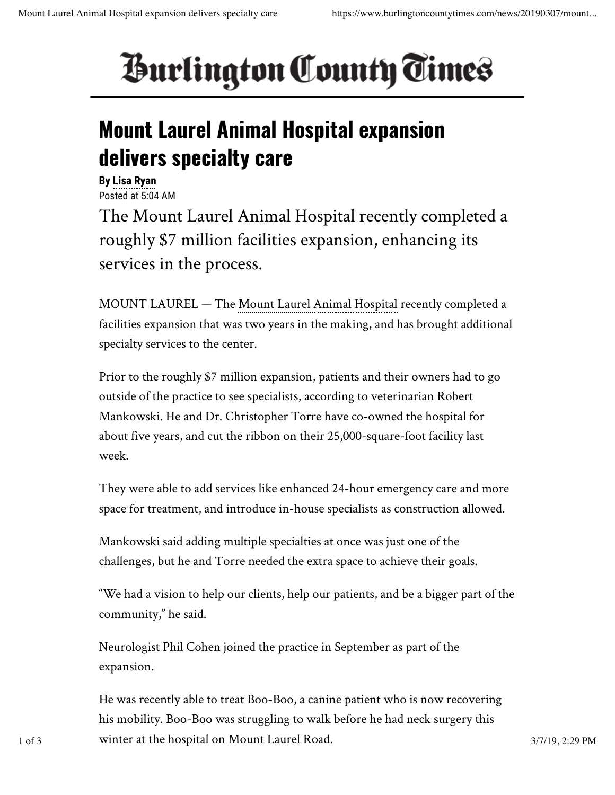## *<u>Burlington County Times</u>*

## **Mount Laurel Animal Hospital expansion delivers specialty care**

**By Lisa Ryan** Posted at 5:04 AM The Mount Laurel Animal Hospital recently completed a roughly \$7 million facilities expansion, enhancing its services in the process.

MOUNT LAUREL — The Mount Laurel Animal Hospital recently completed a facilities expansion that was two years in the making, and has brought additional specialty services to the center.

Prior to the roughly \$7 million expansion, patients and their owners had to go outside of the practice to see specialists, according to veterinarian Robert Mankowski. He and Dr. Christopher Torre have co-owned the hospital for about five years, and cut the ribbon on their 25,000-square-foot facility last week.

They were able to add services like enhanced 24-hour emergency care and more space for treatment, and introduce in-house specialists as construction allowed.

Mankowski said adding multiple specialties at once was just one of the challenges, but he and Torre needed the extra space to achieve their goals.

"We had a vision to help our clients, help our patients, and be a bigger part of the community," he said.

Neurologist Phil Cohen joined the practice in September as part of the expansion.

He was recently able to treat Boo-Boo, a canine patient who is now recovering his mobility. Boo-Boo was struggling to walk before he had neck surgery this 1 of 3 3/7/19, 2:29 PM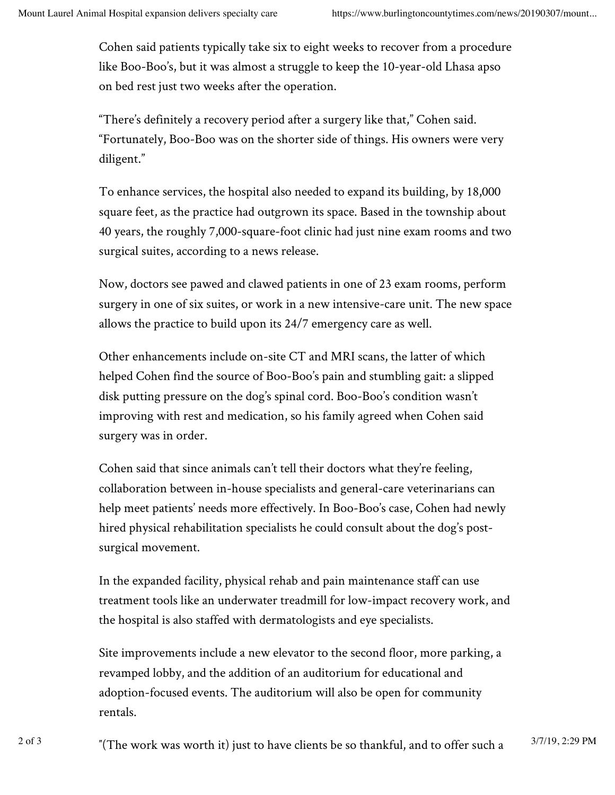Cohen said patients typically take six to eight weeks to recover from a procedure like Boo-Boo's, but it was almost a struggle to keep the 10-year-old Lhasa apso on bed rest just two weeks after the operation.

"There's definitely a recovery period after a surgery like that," Cohen said. "Fortunately, Boo-Boo was on the shorter side of things. His owners were very diligent."

To enhance services, the hospital also needed to expand its building, by 18,000 square feet, as the practice had outgrown its space. Based in the township about 40 years, the roughly 7,000-square-foot clinic had just nine exam rooms and two surgical suites, according to a news release.

Now, doctors see pawed and clawed patients in one of 23 exam rooms, perform surgery in one of six suites, or work in a new intensive-care unit. The new space allows the practice to build upon its 24/7 emergency care as well.

Other enhancements include on-site CT and MRI scans, the latter of which helped Cohen find the source of Boo-Boo's pain and stumbling gait: a slipped disk putting pressure on the dog's spinal cord. Boo-Boo's condition wasn't improving with rest and medication, so his family agreed when Cohen said surgery was in order.

Cohen said that since animals can't tell their doctors what they're feeling, collaboration between in-house specialists and general-care veterinarians can help meet patients' needs more effectively. In Boo-Boo's case, Cohen had newly hired physical rehabilitation specialists he could consult about the dog's postsurgical movement.

In the expanded facility, physical rehab and pain maintenance staff can use treatment tools like an underwater treadmill for low-impact recovery work, and the hospital is also staffed with dermatologists and eye specialists.

Site improvements include a new elevator to the second floor, more parking, a revamped lobby, and the addition of an auditorium for educational and adoption-focused events. The auditorium will also be open for community rentals.